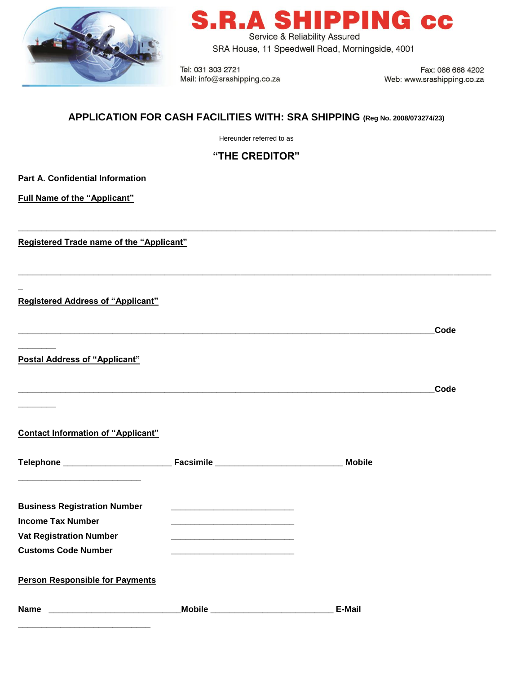

# **R.A SHIPPING CC**

Service & Reliability Assured SRA House, 11 Speedwell Road, Morningside, 4001

Tel: 031 303 2721 Mail: info@srashipping.co.za

Fax: 086 668 4202 Web: www.srashipping.co.za

# **APPLICATION FOR CASH FACILITIES WITH: SRA SHIPPING (Reg No. 2008/073274/23)**

Hereunder referred to as

## **"THE CREDITOR"**

**\_\_\_\_\_\_\_\_\_\_\_\_\_\_\_\_\_\_\_\_\_\_\_\_\_\_\_\_\_\_\_\_\_\_\_\_\_\_\_\_\_\_\_\_\_\_\_\_\_\_\_\_\_\_\_\_\_\_\_\_\_\_\_\_\_\_\_\_\_\_\_\_\_\_\_\_\_\_\_\_\_\_\_\_\_\_\_\_\_\_\_\_\_\_\_\_\_\_\_\_\_**

**\_\_\_\_\_\_\_\_\_\_\_\_\_\_\_\_\_\_\_\_\_\_\_\_\_\_\_\_\_\_\_\_\_\_\_\_\_\_\_\_\_\_\_\_\_\_\_\_\_\_\_\_\_\_\_\_\_\_\_\_\_\_\_\_\_\_\_\_\_\_\_\_\_\_\_\_\_\_\_\_\_\_\_\_\_\_\_\_\_\_\_\_\_\_\_\_\_\_\_\_**

**\_\_\_\_\_\_\_\_\_\_\_\_\_\_\_\_\_\_\_\_\_\_\_\_\_\_\_\_\_\_\_\_\_\_\_\_\_\_\_\_\_\_\_\_\_\_\_\_\_\_\_\_\_\_\_\_\_\_\_\_\_\_\_\_\_\_\_\_\_\_\_\_\_\_\_\_\_\_\_\_\_\_\_\_\_\_\_\_Code** 

**\_\_\_\_\_\_\_\_\_\_\_\_\_\_\_\_\_\_\_\_\_\_\_\_\_\_\_\_\_\_\_\_\_\_\_\_\_\_\_\_\_\_\_\_\_\_\_\_\_\_\_\_\_\_\_\_\_\_\_\_\_\_\_\_\_\_\_\_\_\_\_\_\_\_\_\_\_\_\_\_\_\_\_\_\_\_\_\_Code**

**Part A. Confidential Information**

**Full Name of the "Applicant"** 

**Registered Trade name of the "Applicant"** 

**Registered Address of "Applicant"** 

**\_**

**\_\_\_\_\_\_\_\_**

**\_\_\_\_\_\_\_\_**

**Postal Address of "Applicant"**

**Contact Information of "Applicant"**

**\_\_\_\_\_\_\_\_\_\_\_\_\_\_\_\_\_\_\_\_\_\_\_\_\_\_\_\_**

|                                        |                                | <b>Mobile</b> |
|----------------------------------------|--------------------------------|---------------|
|                                        |                                |               |
| <b>Business Registration Number</b>    |                                |               |
| <b>Income Tax Number</b>               |                                |               |
| <b>Vat Registration Number</b>         |                                |               |
| <b>Customs Code Number</b>             |                                |               |
| <b>Person Responsible for Payments</b> |                                |               |
| <b>Name</b>                            | Mobile _______________________ | E-Mail        |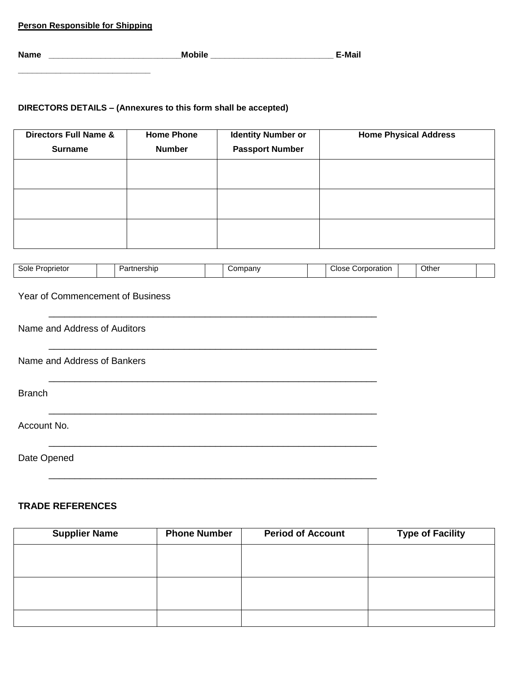|  | <b>Person Responsible for Shipping</b> |  |  |  |  |
|--|----------------------------------------|--|--|--|--|
|--|----------------------------------------|--|--|--|--|

**\_\_\_\_\_\_\_\_\_\_\_\_\_\_\_\_\_\_\_\_\_\_\_\_\_\_\_\_**

| <b>Name</b> | مانطہ | M<br>·ıvıaı. |
|-------------|-------|--------------|
|             |       |              |

## **DIRECTORS DETAILS – (Annexures to this form shall be accepted)**

| <b>Directors Full Name &amp;</b><br><b>Surname</b> | <b>Home Phone</b><br><b>Number</b> | <b>Identity Number or</b><br><b>Passport Number</b> | <b>Home Physical Address</b> |
|----------------------------------------------------|------------------------------------|-----------------------------------------------------|------------------------------|
|                                                    |                                    |                                                     |                              |
|                                                    |                                    |                                                     |                              |
|                                                    |                                    |                                                     |                              |

| Sole<br>prietoi<br>Prop.<br>. | artnership?<br>. In 17 | ompany<br>vv. | Close<br>Corporation | Other |  |
|-------------------------------|------------------------|---------------|----------------------|-------|--|

## Year of Commencement of Business

| Name and Address of Auditors |
|------------------------------|
| Name and Address of Bankers  |
| <b>Branch</b>                |
| Account No.                  |
| Date Opened                  |

## **TRADE REFERENCES**

| <b>Supplier Name</b> | <b>Phone Number</b> | <b>Period of Account</b> | <b>Type of Facility</b> |
|----------------------|---------------------|--------------------------|-------------------------|
|                      |                     |                          |                         |
|                      |                     |                          |                         |
|                      |                     |                          |                         |
|                      |                     |                          |                         |
|                      |                     |                          |                         |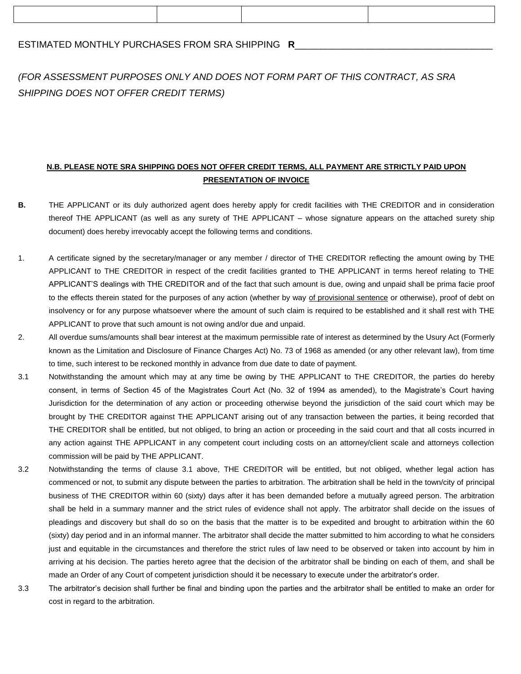### ESTIMATED MONTHLY PURCHASES FROM SRA SHIPPING **R**\_\_\_\_\_\_\_\_\_\_\_\_\_\_\_\_\_\_\_\_\_\_\_\_\_\_\_\_\_\_\_\_\_\_\_\_\_\_

# *(FOR ASSESSMENT PURPOSES ONLY AND DOES NOT FORM PART OF THIS CONTRACT, AS SRA SHIPPING DOES NOT OFFER CREDIT TERMS)*

## **N.B. PLEASE NOTE SRA SHIPPING DOES NOT OFFER CREDIT TERMS, ALL PAYMENT ARE STRICTLY PAID UPON PRESENTATION OF INVOICE**

- **B.** THE APPLICANT or its duly authorized agent does hereby apply for credit facilities with THE CREDITOR and in consideration thereof THE APPLICANT (as well as any surety of THE APPLICANT – whose signature appears on the attached surety ship document) does hereby irrevocably accept the following terms and conditions.
- 1. A certificate signed by the secretary/manager or any member / director of THE CREDITOR reflecting the amount owing by THE APPLICANT to THE CREDITOR in respect of the credit facilities granted to THE APPLICANT in terms hereof relating to THE APPLICANT'S dealings with THE CREDITOR and of the fact that such amount is due, owing and unpaid shall be prima facie proof to the effects therein stated for the purposes of any action (whether by way of provisional sentence or otherwise), proof of debt on insolvency or for any purpose whatsoever where the amount of such claim is required to be established and it shall rest with THE APPLICANT to prove that such amount is not owing and/or due and unpaid.
- 2. All overdue sums/amounts shall bear interest at the maximum permissible rate of interest as determined by the Usury Act (Formerly known as the Limitation and Disclosure of Finance Charges Act) No. 73 of 1968 as amended (or any other relevant law), from time to time, such interest to be reckoned monthly in advance from due date to date of payment.
- 3.1 Notwithstanding the amount which may at any time be owing by THE APPLICANT to THE CREDITOR, the parties do hereby consent, in terms of Section 45 of the Magistrates Court Act (No. 32 of 1994 as amended), to the Magistrate's Court having Jurisdiction for the determination of any action or proceeding otherwise beyond the jurisdiction of the said court which may be brought by THE CREDITOR against THE APPLICANT arising out of any transaction between the parties, it being recorded that THE CREDITOR shall be entitled, but not obliged, to bring an action or proceeding in the said court and that all costs incurred in any action against THE APPLICANT in any competent court including costs on an attorney/client scale and attorneys collection commission will be paid by THE APPLICANT.
- 3.2 Notwithstanding the terms of clause 3.1 above, THE CREDITOR will be entitled, but not obliged, whether legal action has commenced or not, to submit any dispute between the parties to arbitration. The arbitration shall be held in the town/city of principal business of THE CREDITOR within 60 (sixty) days after it has been demanded before a mutually agreed person. The arbitration shall be held in a summary manner and the strict rules of evidence shall not apply. The arbitrator shall decide on the issues of pleadings and discovery but shall do so on the basis that the matter is to be expedited and brought to arbitration within the 60 (sixty) day period and in an informal manner. The arbitrator shall decide the matter submitted to him according to what he considers just and equitable in the circumstances and therefore the strict rules of law need to be observed or taken into account by him in arriving at his decision. The parties hereto agree that the decision of the arbitrator shall be binding on each of them, and shall be made an Order of any Court of competent jurisdiction should it be necessary to execute under the arbitrator's order.
- 3.3 The arbitrator's decision shall further be final and binding upon the parties and the arbitrator shall be entitled to make an order for cost in regard to the arbitration.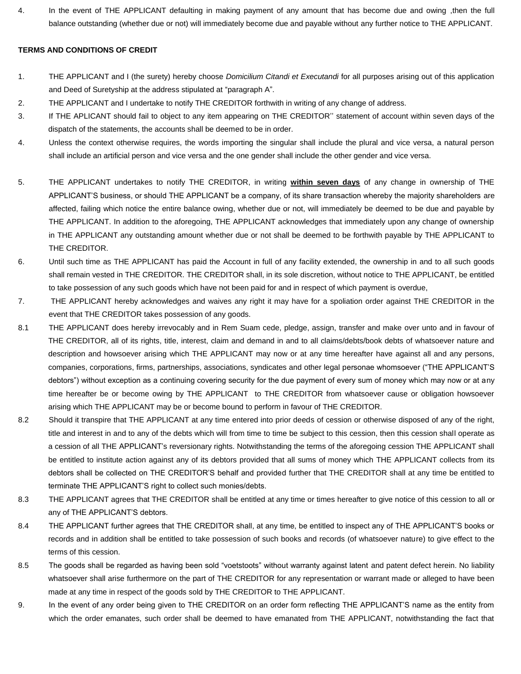4. In the event of THE APPLICANT defaulting in making payment of any amount that has become due and owing ,then the full balance outstanding (whether due or not) will immediately become due and payable without any further notice to THE APPLICANT.

#### **TERMS AND CONDITIONS OF CREDIT**

- 1. THE APPLICANT and I (the surety) hereby choose *Domicilium Citandi et Executandi* for all purposes arising out of this application and Deed of Suretyship at the address stipulated at "paragraph A".
- 2. THE APPLICANT and I undertake to notify THE CREDITOR forthwith in writing of any change of address.
- 3. If THE APLICANT should fail to object to any item appearing on THE CREDITOR'' statement of account within seven days of the dispatch of the statements, the accounts shall be deemed to be in order.
- 4. Unless the context otherwise requires, the words importing the singular shall include the plural and vice versa, a natural person shall include an artificial person and vice versa and the one gender shall include the other gender and vice versa.
- 5. THE APPLICANT undertakes to notify THE CREDITOR, in writing **within seven days** of any change in ownership of THE APPLICANT'S business, or should THE APPLICANT be a company, of its share transaction whereby the majority shareholders are affected, failing which notice the entire balance owing, whether due or not, will immediately be deemed to be due and payable by THE APPLICANT. In addition to the aforegoing, THE APPLICANT acknowledges that immediately upon any change of ownership in THE APPLICANT any outstanding amount whether due or not shall be deemed to be forthwith payable by THE APPLICANT to THE CREDITOR.
- 6. Until such time as THE APPLICANT has paid the Account in full of any facility extended, the ownership in and to all such goods shall remain vested in THE CREDITOR. THE CREDITOR shall, in its sole discretion, without notice to THE APPLICANT, be entitled to take possession of any such goods which have not been paid for and in respect of which payment is overdue,
- 7. THE APPLICANT hereby acknowledges and waives any right it may have for a spoliation order against THE CREDITOR in the event that THE CREDITOR takes possession of any goods.
- 8.1 THE APPLICANT does hereby irrevocably and in Rem Suam cede, pledge, assign, transfer and make over unto and in favour of THE CREDITOR, all of its rights, title, interest, claim and demand in and to all claims/debts/book debts of whatsoever nature and description and howsoever arising which THE APPLICANT may now or at any time hereafter have against all and any persons, companies, corporations, firms, partnerships, associations, syndicates and other legal personae whomsoever ("THE APPLICANT'S debtors") without exception as a continuing covering security for the due payment of every sum of money which may now or at any time hereafter be or become owing by THE APPLICANT to THE CREDITOR from whatsoever cause or obligation howsoever arising which THE APPLICANT may be or become bound to perform in favour of THE CREDITOR.
- 8.2 Should it transpire that THE APPLICANT at any time entered into prior deeds of cession or otherwise disposed of any of the right, title and interest in and to any of the debts which will from time to time be subject to this cession, then this cession shall operate as a cession of all THE APPLICANT's reversionary rights. Notwithstanding the terms of the aforegoing cession THE APPLICANT shall be entitled to institute action against any of its debtors provided that all sums of money which THE APPLICANT collects from its debtors shall be collected on THE CREDITOR'S behalf and provided further that THE CREDITOR shall at any time be entitled to terminate THE APPLICANT'S right to collect such monies/debts.
- 8.3 THE APPLICANT agrees that THE CREDITOR shall be entitled at any time or times hereafter to give notice of this cession to all or any of THE APPLICANT'S debtors.
- 8.4 THE APPLICANT further agrees that THE CREDITOR shall, at any time, be entitled to inspect any of THE APPLICANT'S books or records and in addition shall be entitled to take possession of such books and records (of whatsoever nature) to give effect to the terms of this cession.
- 8.5 The goods shall be regarded as having been sold "voetstoots" without warranty against latent and patent defect herein. No liability whatsoever shall arise furthermore on the part of THE CREDITOR for any representation or warrant made or alleged to have been made at any time in respect of the goods sold by THE CREDITOR to THE APPLICANT.
- 9. In the event of any order being given to THE CREDITOR on an order form reflecting THE APPLICANT'S name as the entity from which the order emanates, such order shall be deemed to have emanated from THE APPLICANT, notwithstanding the fact that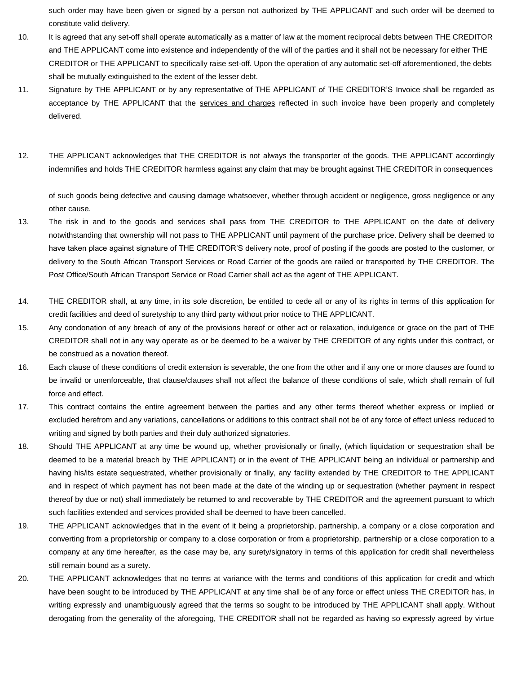such order may have been given or signed by a person not authorized by THE APPLICANT and such order will be deemed to constitute valid delivery.

- 10. It is agreed that any set-off shall operate automatically as a matter of law at the moment reciprocal debts between THE CREDITOR and THE APPLICANT come into existence and independently of the will of the parties and it shall not be necessary for either THE CREDITOR or THE APPLICANT to specifically raise set-off. Upon the operation of any automatic set-off aforementioned, the debts shall be mutually extinguished to the extent of the lesser debt.
- 11. Signature by THE APPLICANT or by any representative of THE APPLICANT of THE CREDITOR'S Invoice shall be regarded as acceptance by THE APPLICANT that the services and charges reflected in such invoice have been properly and completely delivered.
- 12. THE APPLICANT acknowledges that THE CREDITOR is not always the transporter of the goods. THE APPLICANT accordingly indemnifies and holds THE CREDITOR harmless against any claim that may be brought against THE CREDITOR in consequences

of such goods being defective and causing damage whatsoever, whether through accident or negligence, gross negligence or any other cause.

- 13. The risk in and to the goods and services shall pass from THE CREDITOR to THE APPLICANT on the date of delivery notwithstanding that ownership will not pass to THE APPLICANT until payment of the purchase price. Delivery shall be deemed to have taken place against signature of THE CREDITOR'S delivery note, proof of posting if the goods are posted to the customer, or delivery to the South African Transport Services or Road Carrier of the goods are railed or transported by THE CREDITOR. The Post Office/South African Transport Service or Road Carrier shall act as the agent of THE APPLICANT.
- 14. THE CREDITOR shall, at any time, in its sole discretion, be entitled to cede all or any of its rights in terms of this application for credit facilities and deed of suretyship to any third party without prior notice to THE APPLICANT.
- 15. Any condonation of any breach of any of the provisions hereof or other act or relaxation, indulgence or grace on the part of THE CREDITOR shall not in any way operate as or be deemed to be a waiver by THE CREDITOR of any rights under this contract, or be construed as a novation thereof.
- 16. Each clause of these conditions of credit extension is severable, the one from the other and if any one or more clauses are found to be invalid or unenforceable, that clause/clauses shall not affect the balance of these conditions of sale, which shall remain of full force and effect.
- 17. This contract contains the entire agreement between the parties and any other terms thereof whether express or implied or excluded herefrom and any variations, cancellations or additions to this contract shall not be of any force of effect unless reduced to writing and signed by both parties and their duly authorized signatories.
- 18. Should THE APPLICANT at any time be wound up, whether provisionally or finally, (which liquidation or sequestration shall be deemed to be a material breach by THE APPLICANT) or in the event of THE APPLICANT being an individual or partnership and having his/its estate sequestrated, whether provisionally or finally, any facility extended by THE CREDITOR to THE APPLICANT and in respect of which payment has not been made at the date of the winding up or sequestration (whether payment in respect thereof by due or not) shall immediately be returned to and recoverable by THE CREDITOR and the agreement pursuant to which such facilities extended and services provided shall be deemed to have been cancelled.
- 19. THE APPLICANT acknowledges that in the event of it being a proprietorship, partnership, a company or a close corporation and converting from a proprietorship or company to a close corporation or from a proprietorship, partnership or a close corporation to a company at any time hereafter, as the case may be, any surety/signatory in terms of this application for credit shall nevertheless still remain bound as a surety.
- 20. THE APPLICANT acknowledges that no terms at variance with the terms and conditions of this application for credit and which have been sought to be introduced by THE APPLICANT at any time shall be of any force or effect unless THE CREDITOR has, in writing expressly and unambiguously agreed that the terms so sought to be introduced by THE APPLICANT shall apply. Without derogating from the generality of the aforegoing, THE CREDITOR shall not be regarded as having so expressly agreed by virtue